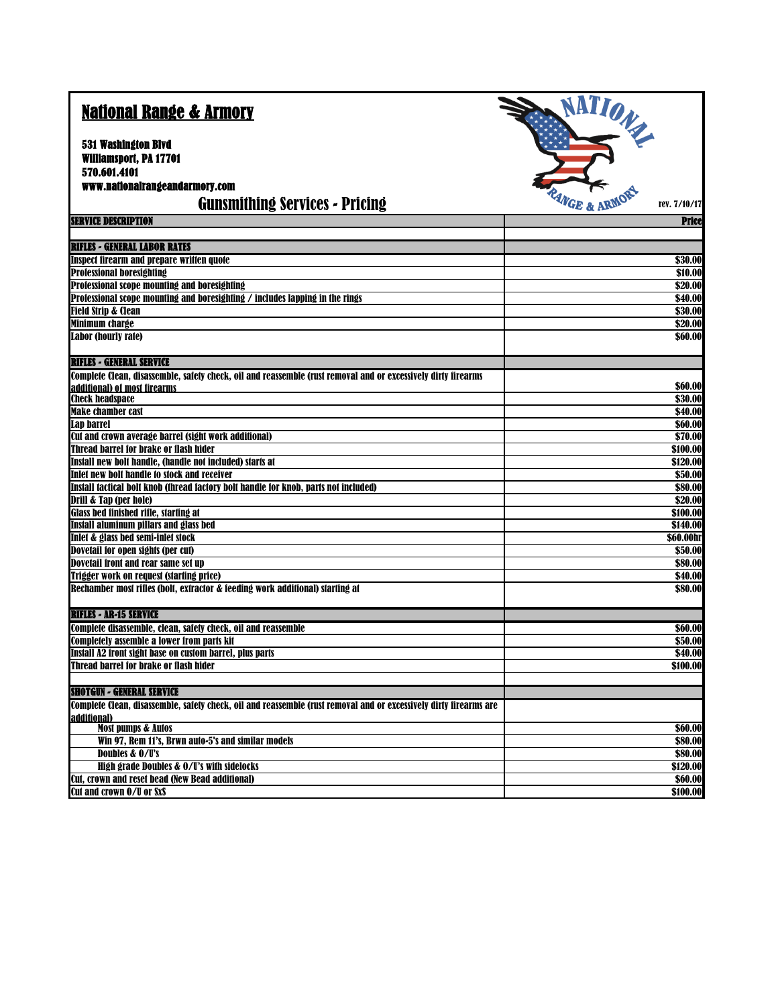| <b>National Range &amp; Armory</b>                                                                                               | ATION              |
|----------------------------------------------------------------------------------------------------------------------------------|--------------------|
| 531 Washington Blvd                                                                                                              |                    |
| Williamsport, PA 17701                                                                                                           |                    |
| 570.601.4101                                                                                                                     |                    |
| www.nationalrangeandarmory.com                                                                                                   |                    |
| <b>Gunsmithing Services - Pricing</b>                                                                                            | rev. 7/10/17       |
| <b>SERVICE DESCRIPTION</b>                                                                                                       | <b>Price</b>       |
|                                                                                                                                  |                    |
| <b>RIFLES - GENERAL LABOR RATES</b>                                                                                              |                    |
| <b>Inspect firearm and prepare written quote</b>                                                                                 | \$30.00            |
| <b>Professional boresighting</b><br>Professional scope mounting and boresighting                                                 | \$10.00<br>\$20.00 |
| Professional scope mounting and boresighting / includes lapping in the rings                                                     | \$40.00            |
| <b>Field Strip &amp; Clean</b>                                                                                                   | \$30.00            |
| <b>Minimum charge</b>                                                                                                            | \$20.00            |
| <b>Labor (hourly rate)</b>                                                                                                       | \$60.00            |
| <b>RIFLES - GENERAL SERVICE</b>                                                                                                  |                    |
| Complete Clean, disassemble, safety check, oil and reassemble (rust removal and or excessively dirty firearms                    |                    |
| additional) of most firearms                                                                                                     | \$60.00            |
| <b>Check headspace</b>                                                                                                           | \$30.00            |
| <b>Make chamber cast</b>                                                                                                         | \$40.00            |
| Lap barrel                                                                                                                       | \$60.00            |
| Cut and crown average barrel (sight work additional)                                                                             | \$70.00            |
| Thread barrel for brake or flash hider                                                                                           | \$100.00           |
| Install new bolt handle, (handle not included) starts at                                                                         | \$120.00           |
| Inlet new bolt handle to stock and receiver                                                                                      | \$50.00<br>\$80.00 |
| Install tactical bolt knob (thread factory bolt handle for knob, parts not included)<br>Drill & Tap (per hole)                   | $\sqrt{$20.00}$    |
| <b>Glass bed finished rifle, starting at</b>                                                                                     | \$100.00           |
| Install aluminum pillars and glass bed                                                                                           | \$140.00           |
| Inlet & glass bed semi-inlet stock                                                                                               | \$60.00hr          |
| Dovetail for open sights (per cut)                                                                                               | \$50.00            |
| Dovetail front and rear same set up                                                                                              | \$80.00            |
| Trigger work on request (starting price)                                                                                         | \$40.00            |
| Rechamber most rifles (bolt, extractor & feeding work additional) starting at                                                    | \$80.00            |
| <b>RIFLES - AR-15 SERVICE</b>                                                                                                    |                    |
| Complete disassemble, clean, safety check, oil and reassemble                                                                    | \$60.00            |
| <b>Completely assemble a lower from parts kit</b>                                                                                | \$50.00            |
| Install A2 front sight base on custom barrel, plus parts                                                                         | \$40.00            |
| Thread barrel for brake or flash hider                                                                                           | \$100.00           |
| <b>SHOTGUN - GENERAL SERVICE</b>                                                                                                 |                    |
| Complete Clean, disassemble, safety check, oil and reassemble (rust removal and or excessively dirty firearms are<br>additional) |                    |
| <b>Most pumps &amp; Autos</b>                                                                                                    | \$60.00            |
| Win 97, Rem 11's, Brwn auto-5's and similar models                                                                               | \$80.00            |
| Doubles & O/U's                                                                                                                  | \$80.00            |
| <b>High grade Doubles &amp; O/U's with sidelocks</b>                                                                             | \$120.00           |
| Cut, crown and reset bead (New Bead additional)                                                                                  | \$60.00            |
| Cut and crown O/U or SxS                                                                                                         | \$100.00           |